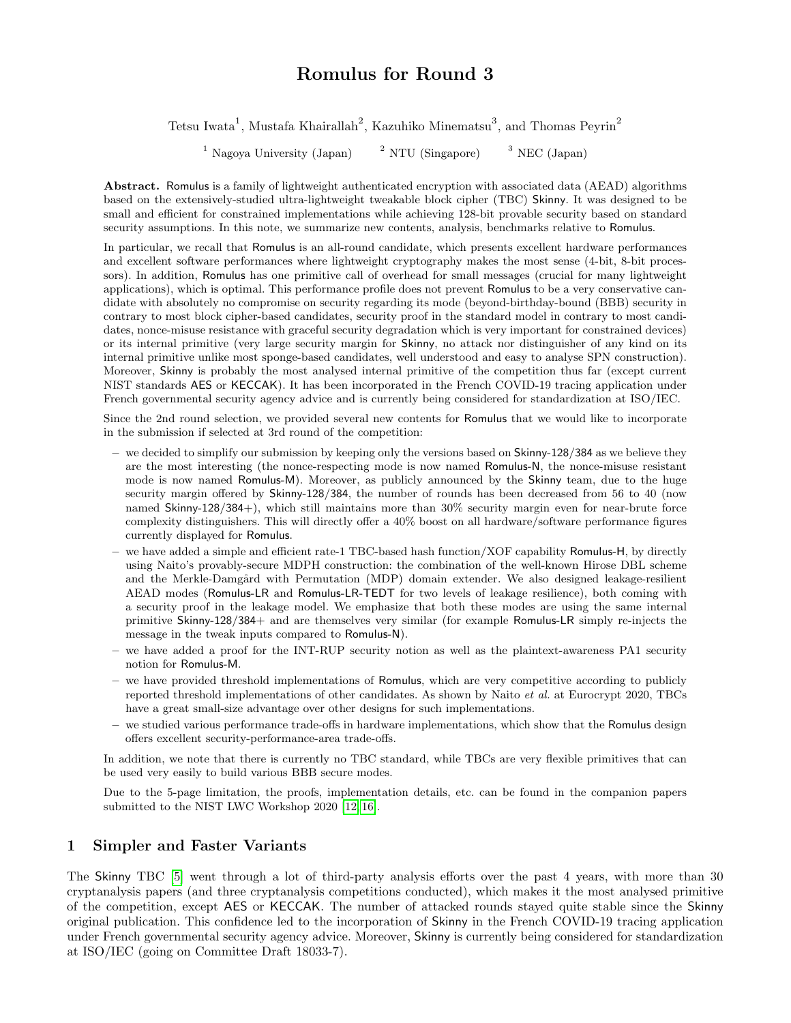# Romulus for Round 3

Tetsu Iwata<sup>1</sup>, Mustafa Khairallah<sup>2</sup>, Kazuhiko Minematsu<sup>3</sup>, and Thomas Peyrin<sup>2</sup>

<sup>1</sup> Nagoya University (Japan)  $2^2$  NTU (Singapore)  $3^3$  NEC (Japan)

Abstract. Romulus is a family of lightweight authenticated encryption with associated data (AEAD) algorithms based on the extensively-studied ultra-lightweight tweakable block cipher (TBC) Skinny. It was designed to be small and efficient for constrained implementations while achieving 128-bit provable security based on standard security assumptions. In this note, we summarize new contents, analysis, benchmarks relative to Romulus.

In particular, we recall that Romulus is an all-round candidate, which presents excellent hardware performances and excellent software performances where lightweight cryptography makes the most sense (4-bit, 8-bit processors). In addition, Romulus has one primitive call of overhead for small messages (crucial for many lightweight applications), which is optimal. This performance profile does not prevent Romulus to be a very conservative candidate with absolutely no compromise on security regarding its mode (beyond-birthday-bound (BBB) security in contrary to most block cipher-based candidates, security proof in the standard model in contrary to most candidates, nonce-misuse resistance with graceful security degradation which is very important for constrained devices) or its internal primitive (very large security margin for Skinny, no attack nor distinguisher of any kind on its internal primitive unlike most sponge-based candidates, well understood and easy to analyse SPN construction). Moreover, Skinny is probably the most analysed internal primitive of the competition thus far (except current NIST standards AES or KECCAK). It has been incorporated in the French COVID-19 tracing application under French governmental security agency advice and is currently being considered for standardization at ISO/IEC.

Since the 2nd round selection, we provided several new contents for Romulus that we would like to incorporate in the submission if selected at 3rd round of the competition:

- we decided to simplify our submission by keeping only the versions based on Skinny-128/384 as we believe they are the most interesting (the nonce-respecting mode is now named Romulus-N, the nonce-misuse resistant mode is now named Romulus-M). Moreover, as publicly announced by the Skinny team, due to the huge security margin offered by Skinny-128/384, the number of rounds has been decreased from 56 to 40 (now named Skinny-128/384+), which still maintains more than 30% security margin even for near-brute force complexity distinguishers. This will directly offer a 40% boost on all hardware/software performance figures currently displayed for Romulus.
- we have added a simple and efficient rate-1 TBC-based hash function/XOF capability Romulus-H, by directly using Naito's provably-secure MDPH construction: the combination of the well-known Hirose DBL scheme and the Merkle-Damgård with Permutation (MDP) domain extender. We also designed leakage-resilient AEAD modes (Romulus-LR and Romulus-LR-TEDT for two levels of leakage resilience), both coming with a security proof in the leakage model. We emphasize that both these modes are using the same internal primitive Skinny-128/384+ and are themselves very similar (for example Romulus-LR simply re-injects the message in the tweak inputs compared to Romulus-N).
- we have added a proof for the INT-RUP security notion as well as the plaintext-awareness PA1 security notion for Romulus-M.
- we have provided threshold implementations of Romulus, which are very competitive according to publicly reported threshold implementations of other candidates. As shown by Naito et al. at Eurocrypt 2020, TBCs have a great small-size advantage over other designs for such implementations.
- we studied various performance trade-offs in hardware implementations, which show that the Romulus design offers excellent security-performance-area trade-offs.

In addition, we note that there is currently no TBC standard, while TBCs are very flexible primitives that can be used very easily to build various BBB secure modes.

Due to the 5-page limitation, the proofs, implementation details, etc. can be found in the companion papers submitted to the NIST LWC Workshop 2020 [\[12,](#page-4-0) [16\]](#page-4-1).

### 1 Simpler and Faster Variants

The Skinny TBC [\[5\]](#page-4-2) went through a lot of third-party analysis efforts over the past 4 years, with more than 30 cryptanalysis papers (and three cryptanalysis competitions conducted), which makes it the most analysed primitive of the competition, except AES or KECCAK. The number of attacked rounds stayed quite stable since the Skinny original publication. This confidence led to the incorporation of Skinny in the French COVID-19 tracing application under French governmental security agency advice. Moreover, Skinny is currently being considered for standardization at ISO/IEC (going on Committee Draft 18033-7).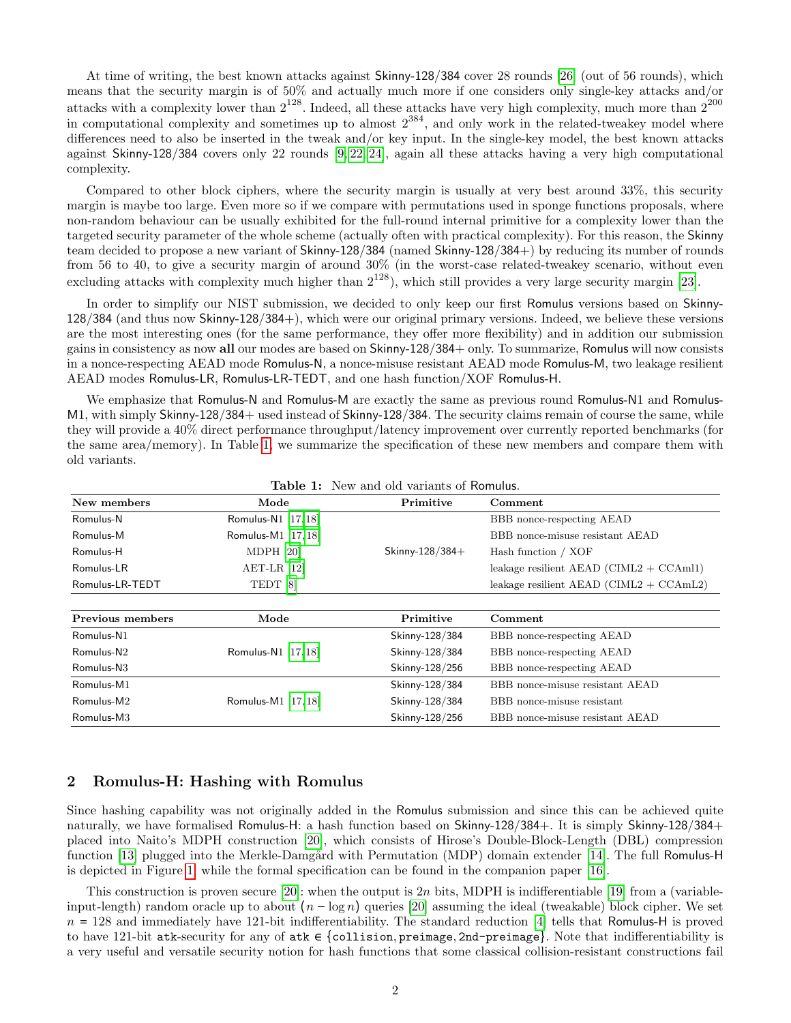At time of writing, the best known attacks against Skinny-128/384 cover 28 rounds [\[26\]](#page-4-3) (out of 56 rounds), which means that the security margin is of 50% and actually much more if one considers only single-key attacks and/or attacks with a complexity lower than  $2^{128}$ . Indeed, all these attacks have very high complexity, much more than  $2^{200}$ in computational complexity and sometimes up to almost  $2^{384}$ , and only work in the related-tweakey model where differences need to also be inserted in the tweak and/or key input. In the single-key model, the best known attacks against Skinny-128/384 covers only 22 rounds [\[9,](#page-4-4) [22,](#page-4-5) [24\]](#page-4-6), again all these attacks having a very high computational complexity.

Compared to other block ciphers, where the security margin is usually at very best around 33%, this security margin is maybe too large. Even more so if we compare with permutations used in sponge functions proposals, where non-random behaviour can be usually exhibited for the full-round internal primitive for a complexity lower than the targeted security parameter of the whole scheme (actually often with practical complexity). For this reason, the Skinny team decided to propose a new variant of Skinny-128/384 (named Skinny-128/384+) by reducing its number of rounds from 56 to 40, to give a security margin of around 30% (in the worst-case related-tweakey scenario, without even excluding attacks with complexity much higher than  $2^{128}$ ), which still provides a very large security margin [\[23\]](#page-4-7).

In order to simplify our NIST submission, we decided to only keep our first Romulus versions based on Skinny-128/384 (and thus now Skinny-128/384+), which were our original primary versions. Indeed, we believe these versions are the most interesting ones (for the same performance, they offer more flexibility) and in addition our submission gains in consistency as now all our modes are based on Skinny-128/384+ only. To summarize, Romulus will now consists in a nonce-respecting AEAD mode Romulus-N, a nonce-misuse resistant AEAD mode Romulus-M, two leakage resilient AEAD modes Romulus-LR, Romulus-LR-TEDT, and one hash function/XOF Romulus-H.

We emphasize that Romulus-N and Romulus-M are exactly the same as previous round Romulus-N1 and Romulus-M1, with simply Skinny-128/384+ used instead of Skinny-128/384. The security claims remain of course the same, while they will provide a 40% direct performance throughput/latency improvement over currently reported benchmarks (for the same area/memory). In Table [1,](#page-1-0) we summarize the specification of these new members and compare them with old variants.

<span id="page-1-0"></span>

| New members            | Mode                   | Primitive          | Comment                                    |
|------------------------|------------------------|--------------------|--------------------------------------------|
| Romulus-N              | Romulus-N1 [17, 18]    |                    | BBB nonce-respecting AEAD                  |
| Romulus-M              | Romulus-M1 [17, 18]    |                    | BBB nonce-misuse resistant AEAD            |
| Romulus-H              | MDPH [20]              | Skinny- $128/384+$ | Hash function / XOF                        |
| Romulus-LR             | $AET-LR$ [12]          |                    | leakage resilient AEAD $(CIML2 + CCAM11)$  |
| Romulus-LR-TEDT        | TEDT <sup>[8]</sup>    |                    | leakage resilient AEAD (CIML2 + $CCAmL2$ ) |
|                        |                        |                    |                                            |
| Previous members       | Mode                   | Primitive          | Comment                                    |
| Romulus-N1             |                        | Skinny-128/384     | BBB nonce-respecting AEAD                  |
| $Romulus-N2$           | Romulus-N1 [17, 18]    | Skinny-128/384     | BBB nonce-respecting AEAD                  |
| Romulus-N <sub>3</sub> |                        | Skinny-128/256     | BBB nonce-respecting AEAD                  |
| Romulus-M1             |                        | Skinny-128/384     | BBB nonce-misuse resistant AEAD            |
| Romulus-M2             | Romulus-M $1$ [17, 18] | Skinny-128/384     | BBB nonce-misuse resistant                 |
| Romulus-M3             |                        | Skinny-128/256     | BBB nonce-misuse resistant AEAD            |

Table 1: New and old variants of Romulus.

#### 2 Romulus-H: Hashing with Romulus

Since hashing capability was not originally added in the Romulus submission and since this can be achieved quite naturally, we have formalised Romulus-H: a hash function based on Skinny-128/384+. It is simply Skinny-128/384+ placed into Naito's MDPH construction [\[20\]](#page-4-10), which consists of Hirose's Double-Block-Length (DBL) compression function [\[13\]](#page-4-12) plugged into the Merkle-Damgård with Permutation (MDP) domain extender [\[14\]](#page-4-13). The full Romulus-H is depicted in Figure [1,](#page-2-0) while the formal specification can be found in the companion paper [\[16\]](#page-4-1).

This construction is proven secure [\[20\]](#page-4-10): when the output is 2n bits, MDPH is indifferentiable [\[19\]](#page-4-14) from a (variableinput-length) random oracle up to about  $(n - \log n)$  queries [\[20\]](#page-4-10) assuming the ideal (tweakable) block cipher. We set  $n = 128$  and immediately have 121-bit indifferentiability. The standard reduction [\[4\]](#page-4-15) tells that Romulus-H is proved to have 121-bit atk-security for any of atk  $\epsilon$  {collision, preimage, 2nd-preimage}. Note that indifferentiability is a very useful and versatile security notion for hash functions that some classical collision-resistant constructions fail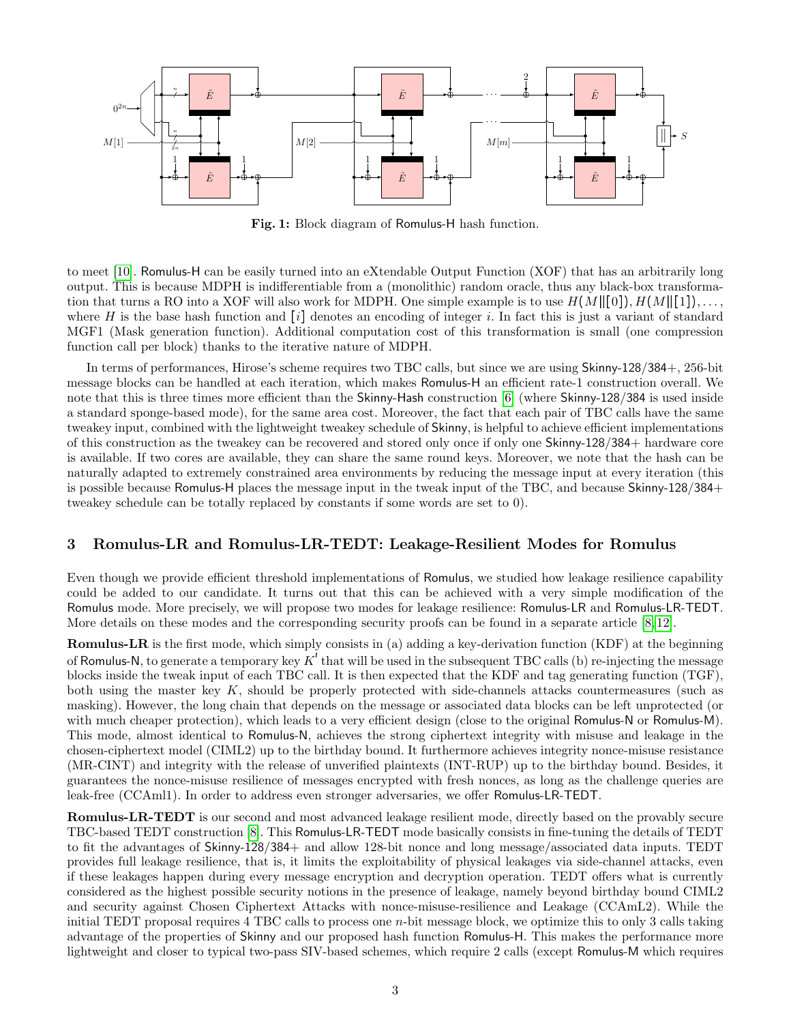<span id="page-2-0"></span>

Fig. 1: Block diagram of Romulus-H hash function.

to meet [\[10\]](#page-4-16). Romulus-H can be easily turned into an eXtendable Output Function (XOF) that has an arbitrarily long output. This is because MDPH is indifferentiable from a (monolithic) random oracle, thus any black-box transformation that turns a RO into a XOF will also work for MDPH. One simple example is to use  $H(M||[0]), H(M||[1]), \ldots$ where H is the base hash function and  $[i]$  denotes an encoding of integer i. In fact this is just a variant of standard MGF1 (Mask generation function). Additional computation cost of this transformation is small (one compression function call per block) thanks to the iterative nature of MDPH.

In terms of performances, Hirose's scheme requires two TBC calls, but since we are using Skinny-128/384+, 256-bit message blocks can be handled at each iteration, which makes Romulus-H an efficient rate-1 construction overall. We note that this is three times more efficient than the Skinny-Hash construction [\[6\]](#page-4-17) (where Skinny-128/384 is used inside a standard sponge-based mode), for the same area cost. Moreover, the fact that each pair of TBC calls have the same tweakey input, combined with the lightweight tweakey schedule of Skinny, is helpful to achieve efficient implementations of this construction as the tweakey can be recovered and stored only once if only one Skinny-128/384+ hardware core is available. If two cores are available, they can share the same round keys. Moreover, we note that the hash can be naturally adapted to extremely constrained area environments by reducing the message input at every iteration (this is possible because Romulus-H places the message input in the tweak input of the TBC, and because Skinny-128/384+ tweakey schedule can be totally replaced by constants if some words are set to 0).

### 3 Romulus-LR and Romulus-LR-TEDT: Leakage-Resilient Modes for Romulus

Even though we provide efficient threshold implementations of Romulus, we studied how leakage resilience capability could be added to our candidate. It turns out that this can be achieved with a very simple modification of the Romulus mode. More precisely, we will propose two modes for leakage resilience: Romulus-LR and Romulus-LR-TEDT. More details on these modes and the corresponding security proofs can be found in a separate article [\[8,](#page-4-11) [12\]](#page-4-0).

Romulus-LR is the first mode, which simply consists in (a) adding a key-derivation function (KDF) at the beginning of Romulus-N, to generate a temporary key  $K^t$  that will be used in the subsequent TBC calls (b) re-injecting the message blocks inside the tweak input of each TBC call. It is then expected that the KDF and tag generating function (TGF), both using the master key K, should be properly protected with side-channels attacks countermeasures (such as masking). However, the long chain that depends on the message or associated data blocks can be left unprotected (or with much cheaper protection), which leads to a very efficient design (close to the original Romulus-N or Romulus-M). This mode, almost identical to Romulus-N, achieves the strong ciphertext integrity with misuse and leakage in the chosen-ciphertext model (CIML2) up to the birthday bound. It furthermore achieves integrity nonce-misuse resistance (MR-CINT) and integrity with the release of unverified plaintexts (INT-RUP) up to the birthday bound. Besides, it guarantees the nonce-misuse resilience of messages encrypted with fresh nonces, as long as the challenge queries are leak-free (CCAml1). In order to address even stronger adversaries, we offer Romulus-LR-TEDT.

Romulus-LR-TEDT is our second and most advanced leakage resilient mode, directly based on the provably secure TBC-based TEDT construction [\[8\]](#page-4-11). This Romulus-LR-TEDT mode basically consists in fine-tuning the details of TEDT to fit the advantages of Skinny-128/384+ and allow 128-bit nonce and long message/associated data inputs. TEDT provides full leakage resilience, that is, it limits the exploitability of physical leakages via side-channel attacks, even if these leakages happen during every message encryption and decryption operation. TEDT offers what is currently considered as the highest possible security notions in the presence of leakage, namely beyond birthday bound CIML2 and security against Chosen Ciphertext Attacks with nonce-misuse-resilience and Leakage (CCAmL2). While the initial TEDT proposal requires 4 TBC calls to process one n-bit message block, we optimize this to only 3 calls taking advantage of the properties of Skinny and our proposed hash function Romulus-H. This makes the performance more lightweight and closer to typical two-pass SIV-based schemes, which require 2 calls (except Romulus-M which requires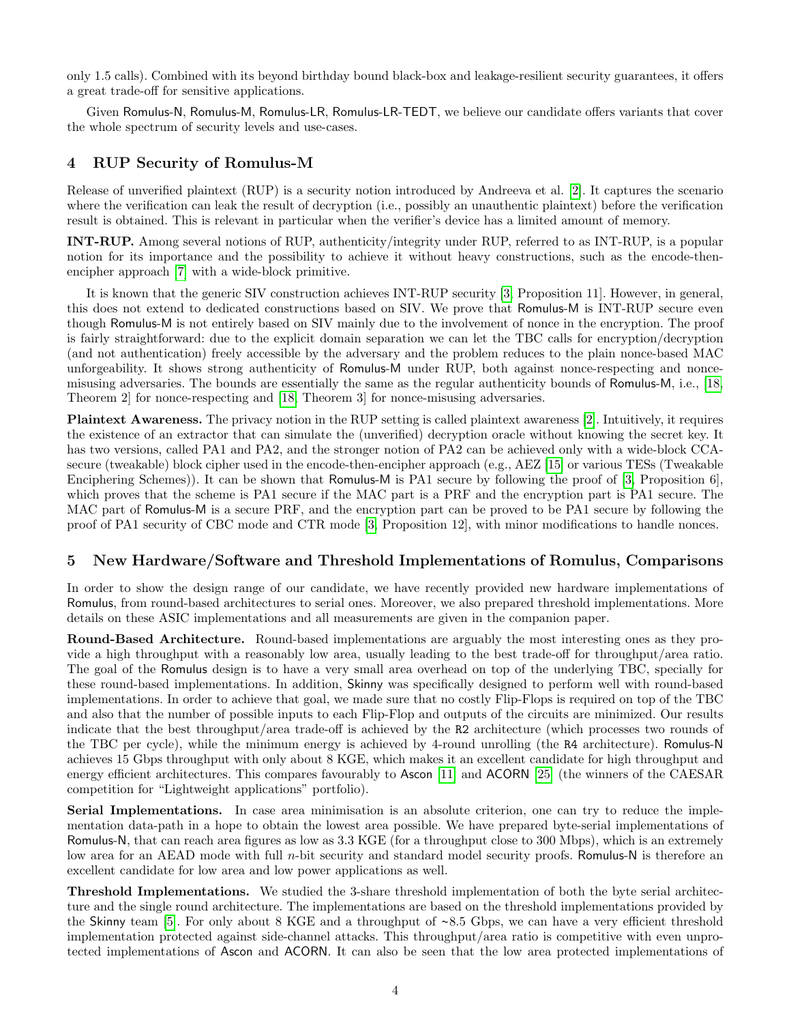only 1.5 calls). Combined with its beyond birthday bound black-box and leakage-resilient security guarantees, it offers a great trade-off for sensitive applications.

Given Romulus-N, Romulus-M, Romulus-LR, Romulus-LR-TEDT, we believe our candidate offers variants that cover the whole spectrum of security levels and use-cases.

## 4 RUP Security of Romulus-M

Release of unverified plaintext (RUP) is a security notion introduced by Andreeva et al. [\[2\]](#page-4-18). It captures the scenario where the verification can leak the result of decryption (i.e., possibly an unauthentic plaintext) before the verification result is obtained. This is relevant in particular when the verifier's device has a limited amount of memory.

INT-RUP. Among several notions of RUP, authenticity/integrity under RUP, referred to as INT-RUP, is a popular notion for its importance and the possibility to achieve it without heavy constructions, such as the encode-thenencipher approach [\[7\]](#page-4-19) with a wide-block primitive.

It is known that the generic SIV construction achieves INT-RUP security [\[3,](#page-4-20) Proposition 11]. However, in general, this does not extend to dedicated constructions based on SIV. We prove that Romulus-M is INT-RUP secure even though Romulus-M is not entirely based on SIV mainly due to the involvement of nonce in the encryption. The proof is fairly straightforward: due to the explicit domain separation we can let the TBC calls for encryption/decryption (and not authentication) freely accessible by the adversary and the problem reduces to the plain nonce-based MAC unforgeability. It shows strong authenticity of Romulus-M under RUP, both against nonce-respecting and noncemisusing adversaries. The bounds are essentially the same as the regular authenticity bounds of Romulus-M, i.e., [\[18,](#page-4-9) Theorem 2] for nonce-respecting and [\[18,](#page-4-9) Theorem 3] for nonce-misusing adversaries.

Plaintext Awareness. The privacy notion in the RUP setting is called plaintext awareness [\[2\]](#page-4-18). Intuitively, it requires the existence of an extractor that can simulate the (unverified) decryption oracle without knowing the secret key. It has two versions, called PA1 and PA2, and the stronger notion of PA2 can be achieved only with a wide-block CCAsecure (tweakable) block cipher used in the encode-then-encipher approach (e.g., AEZ [\[15\]](#page-4-21) or various TESs (Tweakable Enciphering Schemes)). It can be shown that Romulus-M is PA1 secure by following the proof of [\[3,](#page-4-20) Proposition 6], which proves that the scheme is PA1 secure if the MAC part is a PRF and the encryption part is PA1 secure. The MAC part of Romulus-M is a secure PRF, and the encryption part can be proved to be PA1 secure by following the proof of PA1 security of CBC mode and CTR mode [\[3,](#page-4-20) Proposition 12], with minor modifications to handle nonces.

## 5 New Hardware/Software and Threshold Implementations of Romulus, Comparisons

In order to show the design range of our candidate, we have recently provided new hardware implementations of Romulus, from round-based architectures to serial ones. Moreover, we also prepared threshold implementations. More details on these ASIC implementations and all measurements are given in the companion paper.

Round-Based Architecture. Round-based implementations are arguably the most interesting ones as they provide a high throughput with a reasonably low area, usually leading to the best trade-off for throughput/area ratio. The goal of the Romulus design is to have a very small area overhead on top of the underlying TBC, specially for these round-based implementations. In addition, Skinny was specifically designed to perform well with round-based implementations. In order to achieve that goal, we made sure that no costly Flip-Flops is required on top of the TBC and also that the number of possible inputs to each Flip-Flop and outputs of the circuits are minimized. Our results indicate that the best throughput/area trade-off is achieved by the R2 architecture (which processes two rounds of the TBC per cycle), while the minimum energy is achieved by 4-round unrolling (the R4 architecture). Romulus-N achieves 15 Gbps throughput with only about 8 KGE, which makes it an excellent candidate for high throughput and energy efficient architectures. This compares favourably to Ascon [\[11\]](#page-4-22) and ACORN [\[25\]](#page-4-23) (the winners of the CAESAR competition for "Lightweight applications" portfolio).

Serial Implementations. In case area minimisation is an absolute criterion, one can try to reduce the implementation data-path in a hope to obtain the lowest area possible. We have prepared byte-serial implementations of Romulus-N, that can reach area figures as low as 3.3 KGE (for a throughput close to 300 Mbps), which is an extremely low area for an AEAD mode with full *n*-bit security and standard model security proofs. Romulus-N is therefore an excellent candidate for low area and low power applications as well.

Threshold Implementations. We studied the 3-share threshold implementation of both the byte serial architecture and the single round architecture. The implementations are based on the threshold implementations provided by the Skinny team [\[5\]](#page-4-2). For only about 8 KGE and a throughput of ~8.5 Gbps, we can have a very efficient threshold implementation protected against side-channel attacks. This throughput/area ratio is competitive with even unprotected implementations of Ascon and ACORN. It can also be seen that the low area protected implementations of